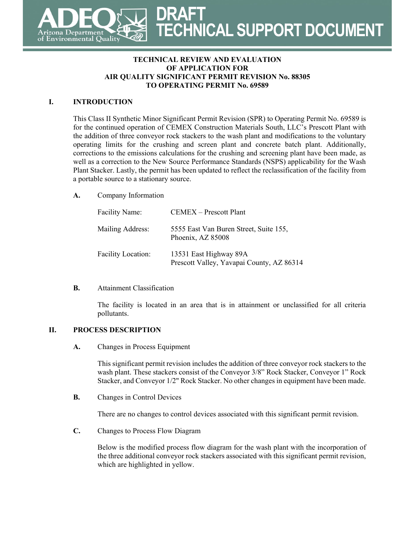

#### **TECHNICAL REVIEW AND EVALUATION OF APPLICATION FOR AIR QUALITY SIGNIFICANT PERMIT REVISION No. 88305 TO OPERATING PERMIT No. 69589**

### **I. INTRODUCTION**

This Class II Synthetic Minor Significant Permit Revision (SPR) to Operating Permit No. 69589 is for the continued operation of CEMEX Construction Materials South, LLC's Prescott Plant with the addition of three conveyor rock stackers to the wash plant and modifications to the voluntary operating limits for the crushing and screen plant and concrete batch plant. Additionally, corrections to the emissions calculations for the crushing and screening plant have been made, as well as a correction to the New Source Performance Standards (NSPS) applicability for the Wash Plant Stacker. Lastly, the permit has been updated to reflect the reclassification of the facility from a portable source to a stationary source.

**A.** Company Information

| <b>Facility Name:</b>     | <b>CEMEX</b> – Prescott Plant                                       |
|---------------------------|---------------------------------------------------------------------|
| Mailing Address:          | 5555 East Van Buren Street, Suite 155,<br>Phoenix, AZ 85008         |
| <b>Facility Location:</b> | 13531 East Highway 89A<br>Prescott Valley, Yavapai County, AZ 86314 |

### **B.** Attainment Classification

The facility is located in an area that is in attainment or unclassified for all criteria pollutants.

## **II. PROCESS DESCRIPTION**

**A.** Changes in Process Equipment

This significant permit revision includes the addition of three conveyor rock stackers to the wash plant. These stackers consist of the Conveyor 3/8" Rock Stacker, Conveyor 1" Rock Stacker, and Conveyor 1/2" Rock Stacker. No other changes in equipment have been made.

**B.** Changes in Control Devices

There are no changes to control devices associated with this significant permit revision.

**C.** Changes to Process Flow Diagram

Below is the modified process flow diagram for the wash plant with the incorporation of the three additional conveyor rock stackers associated with this significant permit revision, which are highlighted in yellow.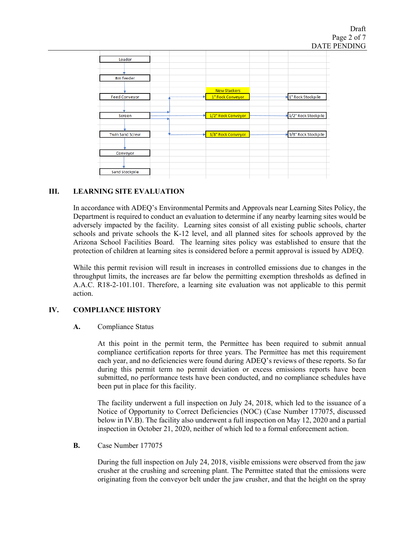

## **III. LEARNING SITE EVALUATION**

In accordance with ADEQ's Environmental Permits and Approvals near Learning Sites Policy, the Department is required to conduct an evaluation to determine if any nearby learning sites would be adversely impacted by the facility. Learning sites consist of all existing public schools, charter schools and private schools the K-12 level, and all planned sites for schools approved by the Arizona School Facilities Board. The learning sites policy was established to ensure that the protection of children at learning sites is considered before a permit approval is issued by ADEQ.

While this permit revision will result in increases in controlled emissions due to changes in the throughput limits, the increases are far below the permitting exemption thresholds as defined in A.A.C. R18-2-101.101. Therefore, a learning site evaluation was not applicable to this permit action.

## **IV. COMPLIANCE HISTORY**

### **A.** Compliance Status

At this point in the permit term, the Permittee has been required to submit annual compliance certification reports for three years. The Permittee has met this requirement each year, and no deficiencies were found during ADEQ's reviews of these reports. So far during this permit term no permit deviation or excess emissions reports have been submitted, no performance tests have been conducted, and no compliance schedules have been put in place for this facility.

The facility underwent a full inspection on July 24, 2018, which led to the issuance of a Notice of Opportunity to Correct Deficiencies (NOC) (Case Number 177075, discussed below in IV.B). The facility also underwent a full inspection on May 12, 2020 and a partial inspection in October 21, 2020, neither of which led to a formal enforcement action.

### **B.** Case Number 177075

During the full inspection on July 24, 2018, visible emissions were observed from the jaw crusher at the crushing and screening plant. The Permittee stated that the emissions were originating from the conveyor belt under the jaw crusher, and that the height on the spray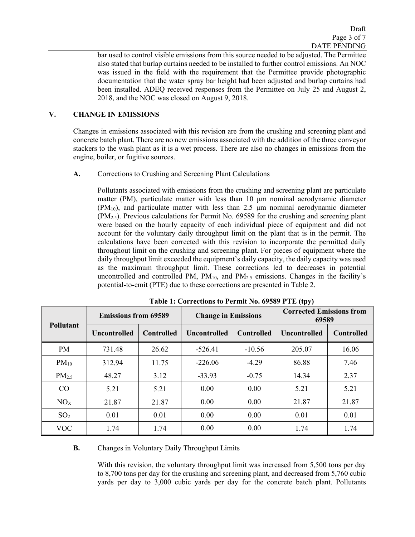bar used to control visible emissions from this source needed to be adjusted. The Permittee also stated that burlap curtains needed to be installed to further control emissions. An NOC was issued in the field with the requirement that the Permittee provide photographic documentation that the water spray bar height had been adjusted and burlap curtains had been installed. ADEQ received responses from the Permittee on July 25 and August 2, 2018, and the NOC was closed on August 9, 2018.

## **V. CHANGE IN EMISSIONS**

Changes in emissions associated with this revision are from the crushing and screening plant and concrete batch plant. There are no new emissions associated with the addition of the three conveyor stackers to the wash plant as it is a wet process. There are also no changes in emissions from the engine, boiler, or fugitive sources.

## **A.** Corrections to Crushing and Screening Plant Calculations

Pollutants associated with emissions from the crushing and screening plant are particulate matter (PM), particulate matter with less than 10 μm nominal aerodynamic diameter  $(PM_{10})$ , and particulate matter with less than 2.5  $\mu$ m nominal aerodynamic diameter  $(PM_{2.5})$ . Previous calculations for Permit No. 69589 for the crushing and screening plant were based on the hourly capacity of each individual piece of equipment and did not account for the voluntary daily throughput limit on the plant that is in the permit. The calculations have been corrected with this revision to incorporate the permitted daily throughout limit on the crushing and screening plant. For pieces of equipment where the daily throughput limit exceeded the equipment's daily capacity, the daily capacity was used as the maximum throughput limit. These corrections led to decreases in potential uncontrolled and controlled PM,  $PM_{10}$ , and  $PM_{2.5}$  emissions. Changes in the facility's potential-to-emit (PTE) due to these corrections are presented in Table 2.

|                  | <b>Emissions from 69589</b> |                   | <b>Change in Emissions</b> |                   | <b>Corrected Emissions from</b><br>69589 |                   |
|------------------|-----------------------------|-------------------|----------------------------|-------------------|------------------------------------------|-------------------|
| <b>Pollutant</b> | Uncontrolled                | <b>Controlled</b> | <b>Uncontrolled</b>        | <b>Controlled</b> | <b>Uncontrolled</b>                      | <b>Controlled</b> |
| PM               | 731.48                      | 26.62             | $-526.41$                  | $-10.56$          | 205.07                                   | 16.06             |
| $PM_{10}$        | 312.94                      | 11.75             | $-226.06$                  | $-4.29$           | 86.88                                    | 7.46              |
| $PM_{2.5}$       | 48.27                       | 3.12              | $-33.93$                   | $-0.75$           | 14.34                                    | 2.37              |
| CO               | 5.21                        | 5.21              | 0.00                       | 0.00              | 5.21                                     | 5.21              |
| NO <sub>X</sub>  | 21.87                       | 21.87             | 0.00                       | 0.00              | 21.87                                    | 21.87             |
| SO <sub>2</sub>  | 0.01                        | 0.01              | 0.00                       | 0.00              | 0.01                                     | 0.01              |
| <b>VOC</b>       | 1.74                        | 1.74              | 0.00                       | 0.00              | 1.74                                     | 1.74              |

| Table 1: Corrections to Permit No. 69589 PTE (tpy) |  |  |
|----------------------------------------------------|--|--|
|----------------------------------------------------|--|--|

### **B.** Changes in Voluntary Daily Throughput Limits

With this revision, the voluntary throughput limit was increased from 5,500 tons per day to 8,700 tons per day for the crushing and screening plant, and decreased from 5,760 cubic yards per day to 3,000 cubic yards per day for the concrete batch plant. Pollutants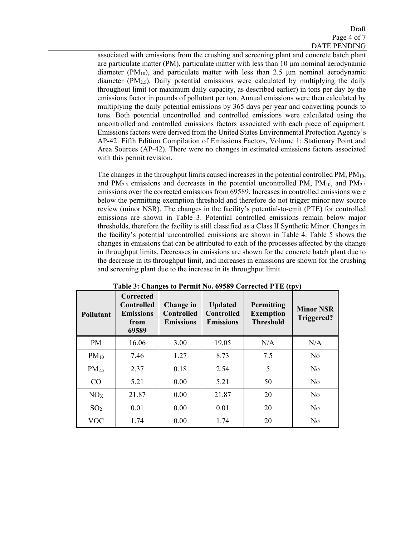associated with emissions from the crushing and screening plant and concrete batch plant are particulate matter (PM), particulate matter with less than 10 μm nominal aerodynamic diameter  $(PM_{10})$ , and particulate matter with less than 2.5  $\mu$ m nominal aerodynamic diameter  $(PM<sub>2.5</sub>)$ . Daily potential emissions were calculated by multiplying the daily throughout limit (or maximum daily capacity, as described earlier) in tons per day by the emissions factor in pounds of pollutant per ton. Annual emissions were then calculated by multiplying the daily potential emissions by 365 days per year and converting pounds to tons. Both potential uncontrolled and controlled emissions were calculated using the uncontrolled and controlled emissions factors associated with each piece of equipment. Emissions factors were derived from the United States Environmental Protection Agency's AP-42: Fifth Edition Compilation of Emissions Factors, Volume 1: Stationary Point and Area Sources (AP-42). There were no changes in estimated emissions factors associated with this permit revision.

The changes in the throughput limits caused increases in the potential controlled PM, PM<sub>10</sub>, and  $PM_{2.5}$  emissions and decreases in the potential uncontrolled PM,  $PM_{10}$ , and  $PM_{2.5}$ emissions over the corrected emissions from 69589. Increases in controlled emissions were below the permitting exemption threshold and therefore do not trigger minor new source review (minor NSR). The changes in the facility's potential-to-emit (PTE) for controlled emissions are shown in Table 3. Potential controlled emissions remain below major thresholds, therefore the facility is still classified as a Class II Synthetic Minor. Changes in the facility's potential uncontrolled emissions are shown in Table 4. Table 5 shows the changes in emissions that can be attributed to each of the processes affected by the change in throughput limits. Decreases in emissions are shown for the concrete batch plant due to the decrease in its throughput limit, and increases in emissions are shown for the crushing and screening plant due to the increase in its throughput limit.

| <b>Pollutant</b>  | <b>Corrected</b><br><b>Controlled</b><br><b>Emissions</b><br>from<br>69589 | 0<br>Change in<br><b>Controlled</b><br><b>Emissions</b> | <b>Updated</b><br><b>Controlled</b><br><b>Emissions</b> | Permitting<br><b>Exemption</b><br><b>Threshold</b> | . . <i>. .</i><br><b>Minor NSR</b><br><b>Triggered?</b> |
|-------------------|----------------------------------------------------------------------------|---------------------------------------------------------|---------------------------------------------------------|----------------------------------------------------|---------------------------------------------------------|
| <b>PM</b>         | 16.06                                                                      | 3.00                                                    | 19.05                                                   | N/A                                                | N/A                                                     |
| $PM_{10}$         | 7.46                                                                       | 1.27                                                    | 8.73                                                    | 7.5                                                | No                                                      |
| PM <sub>2.5</sub> | 2.37                                                                       | 0.18                                                    | 2.54                                                    | 5                                                  | No                                                      |
| CO                | 5.21                                                                       | 0.00                                                    | 5.21                                                    | 50                                                 | No                                                      |
| NO <sub>X</sub>   | 21.87                                                                      | 0.00                                                    | 21.87                                                   | 20                                                 | No                                                      |
| SO <sub>2</sub>   | 0.01                                                                       | 0.00                                                    | 0.01                                                    | 20                                                 | No                                                      |
| <b>VOC</b>        | 1.74                                                                       | 0.00                                                    | 1.74                                                    | 20                                                 | No                                                      |

**Table 3: Changes to Permit No. 69589 Corrected PTE (tpy)**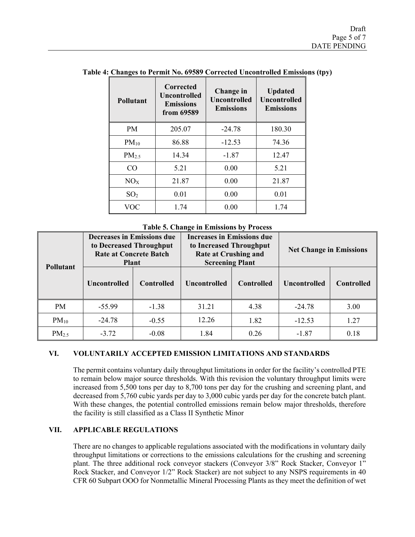|  |  |  |  | Table 4: Changes to Permit No. 69589 Corrected Uncontrolled Emissions (tpy) |  |
|--|--|--|--|-----------------------------------------------------------------------------|--|
|--|--|--|--|-----------------------------------------------------------------------------|--|

| <b>Pollutant</b> | <b>Corrected</b><br>Uncontrolled<br><b>Emissions</b><br>from 69589 | Change in<br><b>Uncontrolled</b><br><b>Emissions</b> | <b>Updated</b><br>Uncontrolled<br><b>Emissions</b> |
|------------------|--------------------------------------------------------------------|------------------------------------------------------|----------------------------------------------------|
| <b>PM</b>        | 205.07                                                             | $-24.78$                                             | 180.30                                             |
| $PM_{10}$        | 86.88                                                              | $-12.53$                                             | 74.36                                              |
| $PM_{2.5}$       | 14.34                                                              | $-1.87$                                              | 12.47                                              |
| CO               | 5.21                                                               | 0.00                                                 | 5.21                                               |
| NO <sub>x</sub>  | 21.87                                                              | 0.00                                                 | 21.87                                              |
| SO <sub>2</sub>  | 0.01                                                               | 0.00                                                 | 0.01                                               |
| VOC              | 1.74                                                               | 0.00                                                 | 1.74                                               |

**Table 5. Change in Emissions by Process**

| <b>Pollutant</b>  | <b>Decreases in Emissions due</b><br>to Decreased Throughput<br><b>Rate at Concrete Batch</b><br><b>Plant</b> |                   | <b>Increases in Emissions due</b><br>to Increased Throughput<br><b>Rate at Crushing and</b><br><b>Screening Plant</b> |                   | <b>Net Change in Emissions</b> |                   |
|-------------------|---------------------------------------------------------------------------------------------------------------|-------------------|-----------------------------------------------------------------------------------------------------------------------|-------------------|--------------------------------|-------------------|
|                   | <b>Uncontrolled</b>                                                                                           | <b>Controlled</b> | <b>Uncontrolled</b>                                                                                                   | <b>Controlled</b> | <b>Uncontrolled</b>            | <b>Controlled</b> |
| <b>PM</b>         | $-55.99$                                                                                                      | $-1.38$           | 31.21                                                                                                                 | 4.38              | $-24.78$                       | 3.00              |
| $PM_{10}$         | $-24.78$                                                                                                      | $-0.55$           | 12.26                                                                                                                 | 1.82              | $-12.53$                       | 1.27              |
| PM <sub>2.5</sub> | $-3.72$                                                                                                       | $-0.08$           | 1.84                                                                                                                  | 0.26              | $-1.87$                        | 0.18              |

#### **VI. VOLUNTARILY ACCEPTED EMISSION LIMITATIONS AND STANDARDS**

The permit contains voluntary daily throughput limitations in order for the facility's controlled PTE to remain below major source thresholds. With this revision the voluntary throughput limits were increased from 5,500 tons per day to 8,700 tons per day for the crushing and screening plant, and decreased from 5,760 cubic yards per day to 3,000 cubic yards per day for the concrete batch plant. With these changes, the potential controlled emissions remain below major thresholds, therefore the facility is still classified as a Class II Synthetic Minor

### **VII. APPLICABLE REGULATIONS**

There are no changes to applicable regulations associated with the modifications in voluntary daily throughput limitations or corrections to the emissions calculations for the crushing and screening plant. The three additional rock conveyor stackers (Conveyor 3/8" Rock Stacker, Conveyor 1" Rock Stacker, and Conveyor 1/2" Rock Stacker) are not subject to any NSPS requirements in 40 CFR 60 Subpart OOO for Nonmetallic Mineral Processing Plants as they meet the definition of wet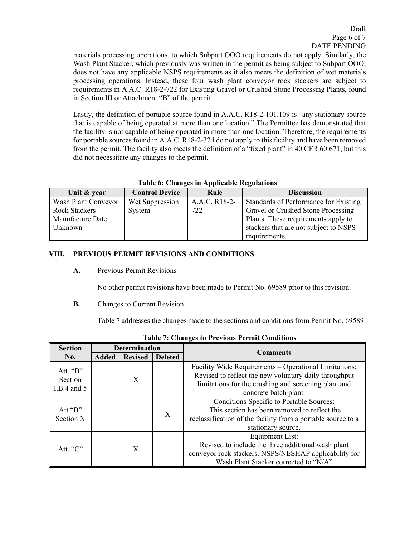Draft Page 6 of 7 DATE PENDING

materials processing operations, to which Subpart OOO requirements do not apply. Similarly, the Wash Plant Stacker, which previously was written in the permit as being subject to Subpart OOO, does not have any applicable NSPS requirements as it also meets the definition of wet materials processing operations. Instead, these four wash plant conveyor rock stackers are subject to requirements in A.A.C. R18-2-722 for Existing Gravel or Crushed Stone Processing Plants, found in Section III or Attachment "B" of the permit.

Lastly, the definition of portable source found in A.A.C. R18-2-101.109 is "any stationary source that is capable of being operated at more than one location." The Permittee has demonstrated that the facility is not capable of being operated in more than one location. Therefore, the requirements for portable sources found in A.A.C. R18-2-324 do not apply to this facility and have been removed from the permit. The facility also meets the definition of a "fixed plant" in 40 CFR 60.671, but this did not necessitate any changes to the permit.

| Unit & year         | <b>Control Device</b> | Rule          | <b>Discussion</b>                     |
|---------------------|-----------------------|---------------|---------------------------------------|
| Wash Plant Conveyor | Wet Suppression       | A.A.C. R18-2- | Standards of Performance for Existing |
| Rock Stackers -     | System                | 722           | Gravel or Crushed Stone Processing    |
| Manufacture Date    |                       |               | Plants. These requirements apply to   |
| Unknown             |                       |               | stackers that are not subject to NSPS |
|                     |                       |               | requirements.                         |

## **Table 6: Changes in Applicable Regulations**

## **VIII. PREVIOUS PERMIT REVISIONS AND CONDITIONS**

**A.** Previous Permit Revisions

No other permit revisions have been made to Permit No. 69589 prior to this revision.

**B.** Changes to Current Revision

Table 7 addresses the changes made to the sections and conditions from Permit No. 69589:

| <b>Section</b>                       |              | <b>Determination</b> |                | <b>Comments</b>                                                                                                                                                                                 |
|--------------------------------------|--------------|----------------------|----------------|-------------------------------------------------------------------------------------------------------------------------------------------------------------------------------------------------|
| No.                                  | <b>Added</b> | <b>Revised</b>       | <b>Deleted</b> |                                                                                                                                                                                                 |
| Att. "B"<br>Section<br>I.B.4 and $5$ |              | X                    |                | Facility Wide Requirements - Operational Limitations:<br>Revised to reflect the new voluntary daily throughput<br>limitations for the crushing and screening plant and<br>concrete batch plant. |
| Att " $B$ "<br>Section X             |              |                      | X              | Conditions Specific to Portable Sources:<br>This section has been removed to reflect the<br>reclassification of the facility from a portable source to a<br>stationary source.                  |
| Att. " $C$ "                         |              | X                    |                | Equipment List:<br>Revised to include the three additional wash plant<br>conveyor rock stackers. NSPS/NESHAP applicability for<br>Wash Plant Stacker corrected to "N/A"                         |

**Table 7: Changes to Previous Permit Conditions**